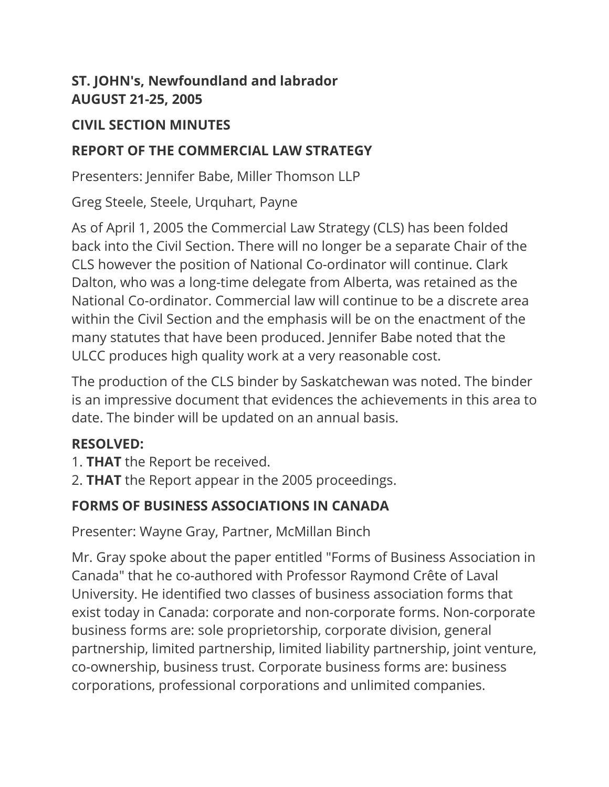#### **ST. JOHN's, Newfoundland and labrador AUGUST 21-25, 2005**

#### **CIVIL SECTION MINUTES**

#### **REPORT OF THE COMMERCIAL LAW STRATEGY**

Presenters: Jennifer Babe, Miller Thomson LLP

Greg Steele, Steele, Urquhart, Payne

As of April 1, 2005 the Commercial Law Strategy (CLS) has been folded back into the Civil Section. There will no longer be a separate Chair of the CLS however the position of National Co-ordinator will continue. Clark Dalton, who was a long-time delegate from Alberta, was retained as the National Co-ordinator. Commercial law will continue to be a discrete area within the Civil Section and the emphasis will be on the enactment of the many statutes that have been produced. Jennifer Babe noted that the ULCC produces high quality work at a very reasonable cost.

The production of the CLS binder by Saskatchewan was noted. The binder is an impressive document that evidences the achievements in this area to date. The binder will be updated on an annual basis.

## **RESOLVED:**

- 1. **THAT** the Report be received.
- 2. **THAT** the Report appear in the 2005 proceedings.

## **FORMS OF BUSINESS ASSOCIATIONS IN CANADA**

Presenter: Wayne Gray, Partner, McMillan Binch

Mr. Gray spoke about the paper entitled "Forms of Business Association in Canada" that he co-authored with Professor Raymond Crête of Laval University. He identified two classes of business association forms that exist today in Canada: corporate and non-corporate forms. Non-corporate business forms are: sole proprietorship, corporate division, general partnership, limited partnership, limited liability partnership, joint venture, co-ownership, business trust. Corporate business forms are: business corporations, professional corporations and unlimited companies.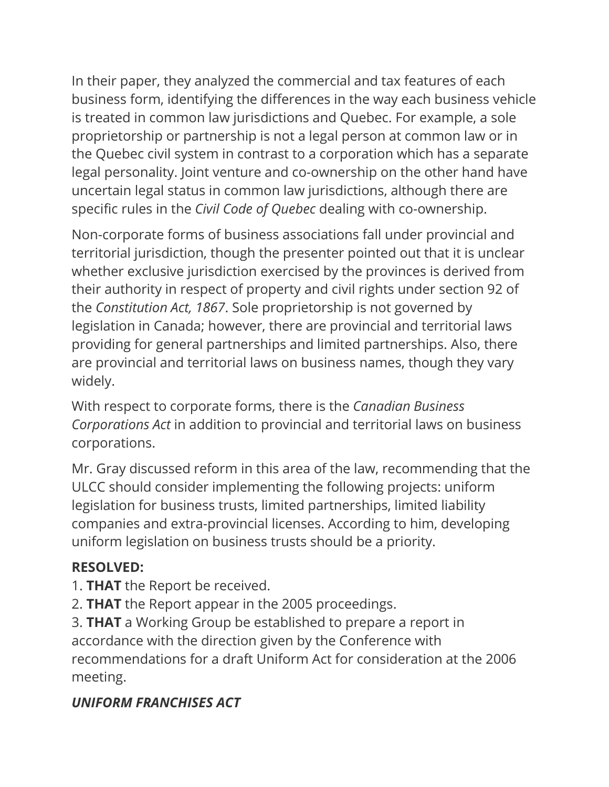In their paper, they analyzed the commercial and tax features of each business form, identifying the differences in the way each business vehicle is treated in common law jurisdictions and Quebec. For example, a sole proprietorship or partnership is not a legal person at common law or in the Quebec civil system in contrast to a corporation which has a separate legal personality. Joint venture and co-ownership on the other hand have uncertain legal status in common law jurisdictions, although there are specific rules in the *Civil Code of Quebec* dealing with co-ownership.

Non-corporate forms of business associations fall under provincial and territorial jurisdiction, though the presenter pointed out that it is unclear whether exclusive jurisdiction exercised by the provinces is derived from their authority in respect of property and civil rights under section 92 of the *Constitution Act, 1867*. Sole proprietorship is not governed by legislation in Canada; however, there are provincial and territorial laws providing for general partnerships and limited partnerships. Also, there are provincial and territorial laws on business names, though they vary widely.

With respect to corporate forms, there is the *Canadian Business Corporations Act* in addition to provincial and territorial laws on business corporations.

Mr. Gray discussed reform in this area of the law, recommending that the ULCC should consider implementing the following projects: uniform legislation for business trusts, limited partnerships, limited liability companies and extra-provincial licenses. According to him, developing uniform legislation on business trusts should be a priority.

#### **RESOLVED:**

- 1. **THAT** the Report be received.
- 2. **THAT** the Report appear in the 2005 proceedings.

3. **THAT** a Working Group be established to prepare a report in accordance with the direction given by the Conference with recommendations for a draft Uniform Act for consideration at the 2006 meeting.

# *UNIFORM FRANCHISES ACT*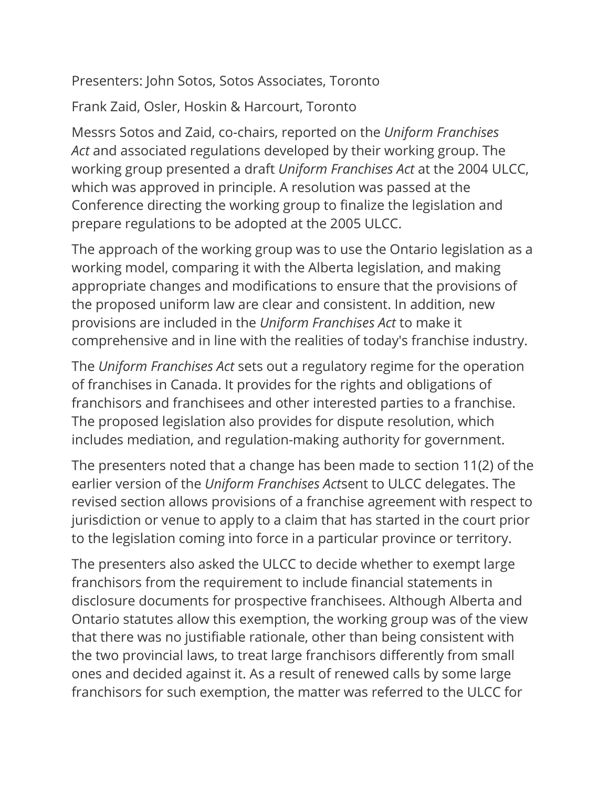Presenters: John Sotos, Sotos Associates, Toronto

Frank Zaid, Osler, Hoskin & Harcourt, Toronto

Messrs Sotos and Zaid, co-chairs, reported on the *Uniform Franchises Act* and associated regulations developed by their working group. The working group presented a draft *Uniform Franchises Act* at the 2004 ULCC, which was approved in principle. A resolution was passed at the Conference directing the working group to finalize the legislation and prepare regulations to be adopted at the 2005 ULCC.

The approach of the working group was to use the Ontario legislation as a working model, comparing it with the Alberta legislation, and making appropriate changes and modifications to ensure that the provisions of the proposed uniform law are clear and consistent. In addition, new provisions are included in the *Uniform Franchises Act* to make it comprehensive and in line with the realities of today's franchise industry.

The *Uniform Franchises Act* sets out a regulatory regime for the operation of franchises in Canada. It provides for the rights and obligations of franchisors and franchisees and other interested parties to a franchise. The proposed legislation also provides for dispute resolution, which includes mediation, and regulation-making authority for government.

The presenters noted that a change has been made to section 11(2) of the earlier version of the *Uniform Franchises Act*sent to ULCC delegates. The revised section allows provisions of a franchise agreement with respect to jurisdiction or venue to apply to a claim that has started in the court prior to the legislation coming into force in a particular province or territory.

The presenters also asked the ULCC to decide whether to exempt large franchisors from the requirement to include financial statements in disclosure documents for prospective franchisees. Although Alberta and Ontario statutes allow this exemption, the working group was of the view that there was no justifiable rationale, other than being consistent with the two provincial laws, to treat large franchisors differently from small ones and decided against it. As a result of renewed calls by some large franchisors for such exemption, the matter was referred to the ULCC for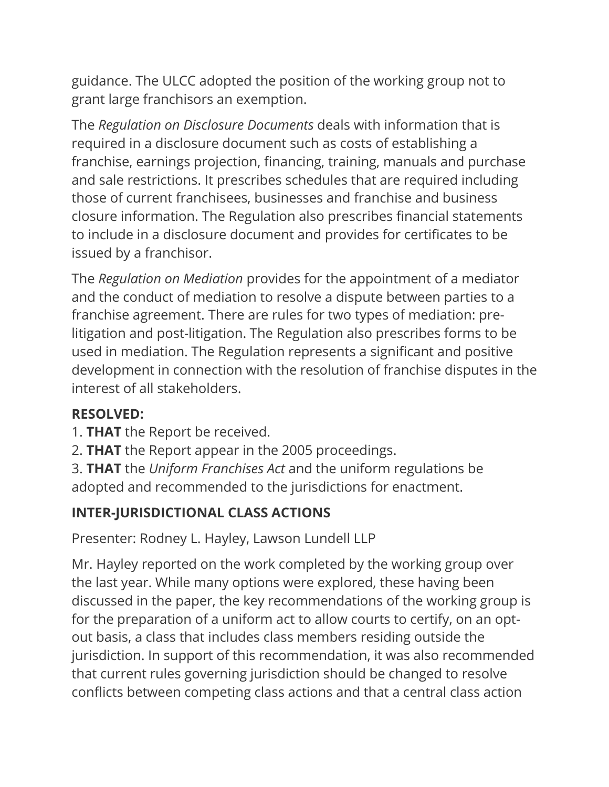guidance. The ULCC adopted the position of the working group not to grant large franchisors an exemption.

The *Regulation on Disclosure Documents* deals with information that is required in a disclosure document such as costs of establishing a franchise, earnings projection, financing, training, manuals and purchase and sale restrictions. It prescribes schedules that are required including those of current franchisees, businesses and franchise and business closure information. The Regulation also prescribes financial statements to include in a disclosure document and provides for certificates to be issued by a franchisor.

The *Regulation on Mediation* provides for the appointment of a mediator and the conduct of mediation to resolve a dispute between parties to a franchise agreement. There are rules for two types of mediation: prelitigation and post-litigation. The Regulation also prescribes forms to be used in mediation. The Regulation represents a significant and positive development in connection with the resolution of franchise disputes in the interest of all stakeholders.

#### **RESOLVED:**

- 1. **THAT** the Report be received.
- 2. **THAT** the Report appear in the 2005 proceedings.
- 3. **THAT** the *Uniform Franchises Act* and the uniform regulations be adopted and recommended to the jurisdictions for enactment.

## **INTER-JURISDICTIONAL CLASS ACTIONS**

Presenter: Rodney L. Hayley, Lawson Lundell LLP

Mr. Hayley reported on the work completed by the working group over the last year. While many options were explored, these having been discussed in the paper, the key recommendations of the working group is for the preparation of a uniform act to allow courts to certify, on an optout basis, a class that includes class members residing outside the jurisdiction. In support of this recommendation, it was also recommended that current rules governing jurisdiction should be changed to resolve conflicts between competing class actions and that a central class action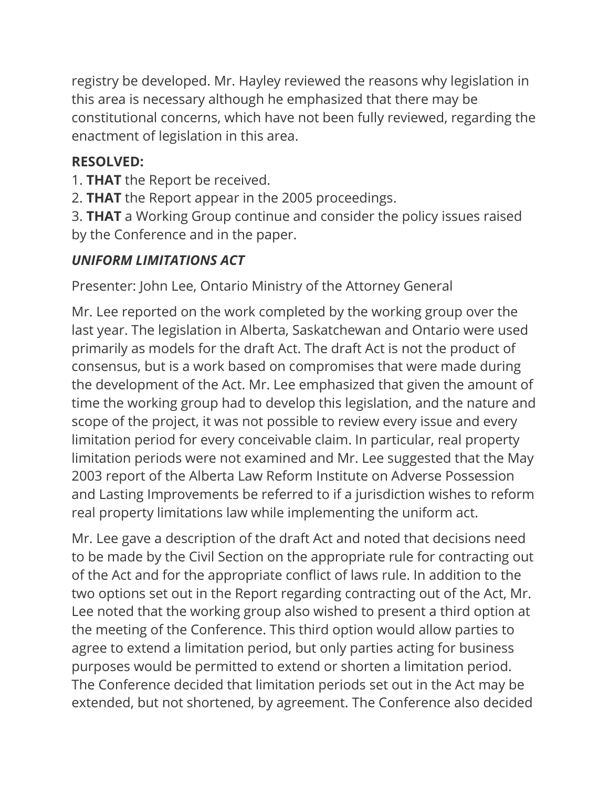registry be developed. Mr. Hayley reviewed the reasons why legislation in this area is necessary although he emphasized that there may be constitutional concerns, which have not been fully reviewed, regarding the enactment of legislation in this area.

#### **RESOLVED:**

1. **THAT** the Report be received.

2. **THAT** the Report appear in the 2005 proceedings.

3. **THAT** a Working Group continue and consider the policy issues raised by the Conference and in the paper.

## *UNIFORM LIMITATIONS ACT*

Presenter: John Lee, Ontario Ministry of the Attorney General

Mr. Lee reported on the work completed by the working group over the last year. The legislation in Alberta, Saskatchewan and Ontario were used primarily as models for the draft Act. The draft Act is not the product of consensus, but is a work based on compromises that were made during the development of the Act. Mr. Lee emphasized that given the amount of time the working group had to develop this legislation, and the nature and scope of the project, it was not possible to review every issue and every limitation period for every conceivable claim. In particular, real property limitation periods were not examined and Mr. Lee suggested that the May 2003 report of the Alberta Law Reform Institute on Adverse Possession and Lasting Improvements be referred to if a jurisdiction wishes to reform real property limitations law while implementing the uniform act.

Mr. Lee gave a description of the draft Act and noted that decisions need to be made by the Civil Section on the appropriate rule for contracting out of the Act and for the appropriate conflict of laws rule. In addition to the two options set out in the Report regarding contracting out of the Act, Mr. Lee noted that the working group also wished to present a third option at the meeting of the Conference. This third option would allow parties to agree to extend a limitation period, but only parties acting for business purposes would be permitted to extend or shorten a limitation period. The Conference decided that limitation periods set out in the Act may be extended, but not shortened, by agreement. The Conference also decided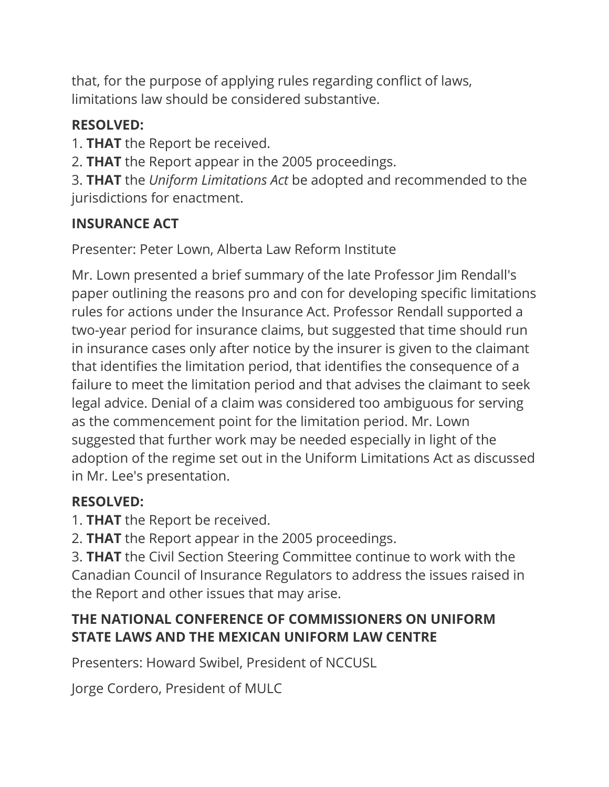that, for the purpose of applying rules regarding conflict of laws, limitations law should be considered substantive.

## **RESOLVED:**

- 1. **THAT** the Report be received.
- 2. **THAT** the Report appear in the 2005 proceedings.

3. **THAT** the *Uniform Limitations Act* be adopted and recommended to the jurisdictions for enactment.

## **INSURANCE ACT**

Presenter: Peter Lown, Alberta Law Reform Institute

Mr. Lown presented a brief summary of the late Professor Jim Rendall's paper outlining the reasons pro and con for developing specific limitations rules for actions under the Insurance Act. Professor Rendall supported a two-year period for insurance claims, but suggested that time should run in insurance cases only after notice by the insurer is given to the claimant that identifies the limitation period, that identifies the consequence of a failure to meet the limitation period and that advises the claimant to seek legal advice. Denial of a claim was considered too ambiguous for serving as the commencement point for the limitation period. Mr. Lown suggested that further work may be needed especially in light of the adoption of the regime set out in the Uniform Limitations Act as discussed in Mr. Lee's presentation.

# **RESOLVED:**

1. **THAT** the Report be received.

2. **THAT** the Report appear in the 2005 proceedings.

3. **THAT** the Civil Section Steering Committee continue to work with the Canadian Council of Insurance Regulators to address the issues raised in the Report and other issues that may arise.

# **THE NATIONAL CONFERENCE OF COMMISSIONERS ON UNIFORM STATE LAWS AND THE MEXICAN UNIFORM LAW CENTRE**

Presenters: Howard Swibel, President of NCCUSL

Jorge Cordero, President of MULC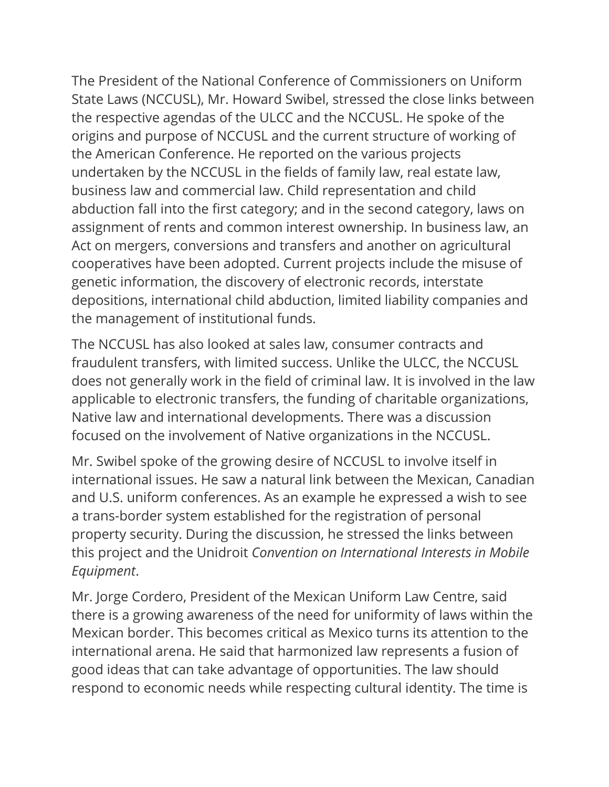The President of the National Conference of Commissioners on Uniform State Laws (NCCUSL), Mr. Howard Swibel, stressed the close links between the respective agendas of the ULCC and the NCCUSL. He spoke of the origins and purpose of NCCUSL and the current structure of working of the American Conference. He reported on the various projects undertaken by the NCCUSL in the fields of family law, real estate law, business law and commercial law. Child representation and child abduction fall into the first category; and in the second category, laws on assignment of rents and common interest ownership. In business law, an Act on mergers, conversions and transfers and another on agricultural cooperatives have been adopted. Current projects include the misuse of genetic information, the discovery of electronic records, interstate depositions, international child abduction, limited liability companies and the management of institutional funds.

The NCCUSL has also looked at sales law, consumer contracts and fraudulent transfers, with limited success. Unlike the ULCC, the NCCUSL does not generally work in the field of criminal law. It is involved in the law applicable to electronic transfers, the funding of charitable organizations, Native law and international developments. There was a discussion focused on the involvement of Native organizations in the NCCUSL.

Mr. Swibel spoke of the growing desire of NCCUSL to involve itself in international issues. He saw a natural link between the Mexican, Canadian and U.S. uniform conferences. As an example he expressed a wish to see a trans-border system established for the registration of personal property security. During the discussion, he stressed the links between this project and the Unidroit *Convention on International Interests in Mobile Equipment*.

Mr. Jorge Cordero, President of the Mexican Uniform Law Centre, said there is a growing awareness of the need for uniformity of laws within the Mexican border. This becomes critical as Mexico turns its attention to the international arena. He said that harmonized law represents a fusion of good ideas that can take advantage of opportunities. The law should respond to economic needs while respecting cultural identity. The time is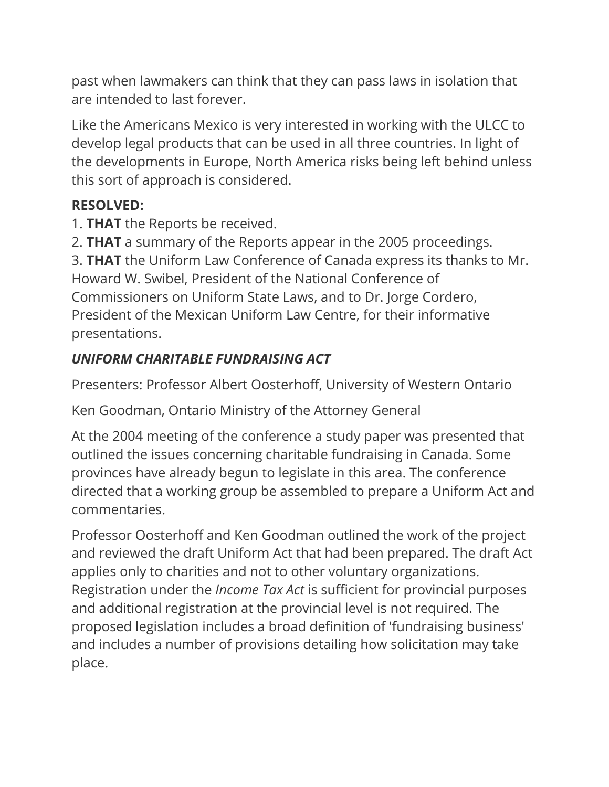past when lawmakers can think that they can pass laws in isolation that are intended to last forever.

Like the Americans Mexico is very interested in working with the ULCC to develop legal products that can be used in all three countries. In light of the developments in Europe, North America risks being left behind unless this sort of approach is considered.

#### **RESOLVED:**

1. **THAT** the Reports be received.

2. **THAT** a summary of the Reports appear in the 2005 proceedings.

3. **THAT** the Uniform Law Conference of Canada express its thanks to Mr. Howard W. Swibel, President of the National Conference of Commissioners on Uniform State Laws, and to Dr. Jorge Cordero, President of the Mexican Uniform Law Centre, for their informative presentations.

# *UNIFORM CHARITABLE FUNDRAISING ACT*

Presenters: Professor Albert Oosterhoff, University of Western Ontario

Ken Goodman, Ontario Ministry of the Attorney General

At the 2004 meeting of the conference a study paper was presented that outlined the issues concerning charitable fundraising in Canada. Some provinces have already begun to legislate in this area. The conference directed that a working group be assembled to prepare a Uniform Act and commentaries.

Professor Oosterhoff and Ken Goodman outlined the work of the project and reviewed the draft Uniform Act that had been prepared. The draft Act applies only to charities and not to other voluntary organizations. Registration under the *Income Tax Act* is sufficient for provincial purposes and additional registration at the provincial level is not required. The proposed legislation includes a broad definition of 'fundraising business' and includes a number of provisions detailing how solicitation may take place.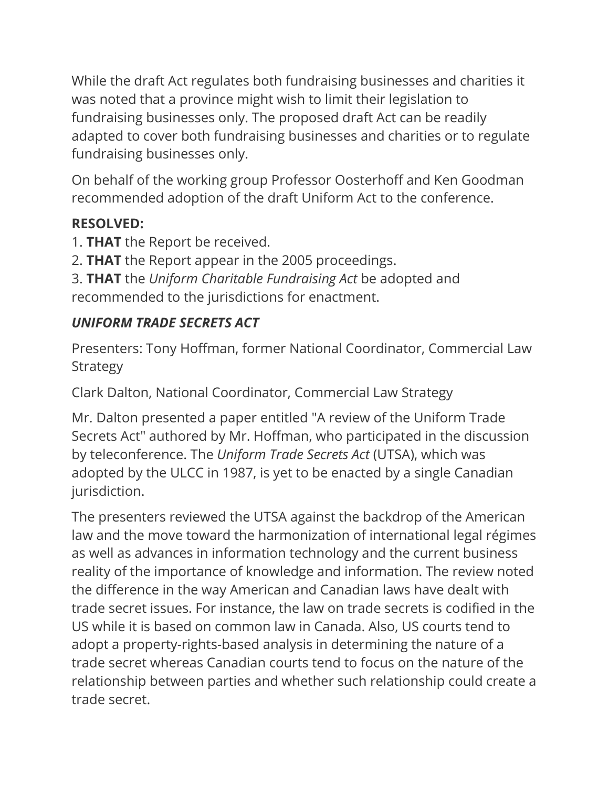While the draft Act regulates both fundraising businesses and charities it was noted that a province might wish to limit their legislation to fundraising businesses only. The proposed draft Act can be readily adapted to cover both fundraising businesses and charities or to regulate fundraising businesses only.

On behalf of the working group Professor Oosterhoff and Ken Goodman recommended adoption of the draft Uniform Act to the conference.

#### **RESOLVED:**

- 1. **THAT** the Report be received.
- 2. **THAT** the Report appear in the 2005 proceedings.
- 3. **THAT** the *Uniform Charitable Fundraising Act* be adopted and recommended to the jurisdictions for enactment.

#### *UNIFORM TRADE SECRETS ACT*

Presenters: Tony Hoffman, former National Coordinator, Commercial Law **Strategy** 

Clark Dalton, National Coordinator, Commercial Law Strategy

Mr. Dalton presented a paper entitled "A review of the Uniform Trade Secrets Act" authored by Mr. Hoffman, who participated in the discussion by teleconference. The *Uniform Trade Secrets Act* (UTSA), which was adopted by the ULCC in 1987, is yet to be enacted by a single Canadian jurisdiction.

The presenters reviewed the UTSA against the backdrop of the American law and the move toward the harmonization of international legal régimes as well as advances in information technology and the current business reality of the importance of knowledge and information. The review noted the difference in the way American and Canadian laws have dealt with trade secret issues. For instance, the law on trade secrets is codified in the US while it is based on common law in Canada. Also, US courts tend to adopt a property-rights-based analysis in determining the nature of a trade secret whereas Canadian courts tend to focus on the nature of the relationship between parties and whether such relationship could create a trade secret.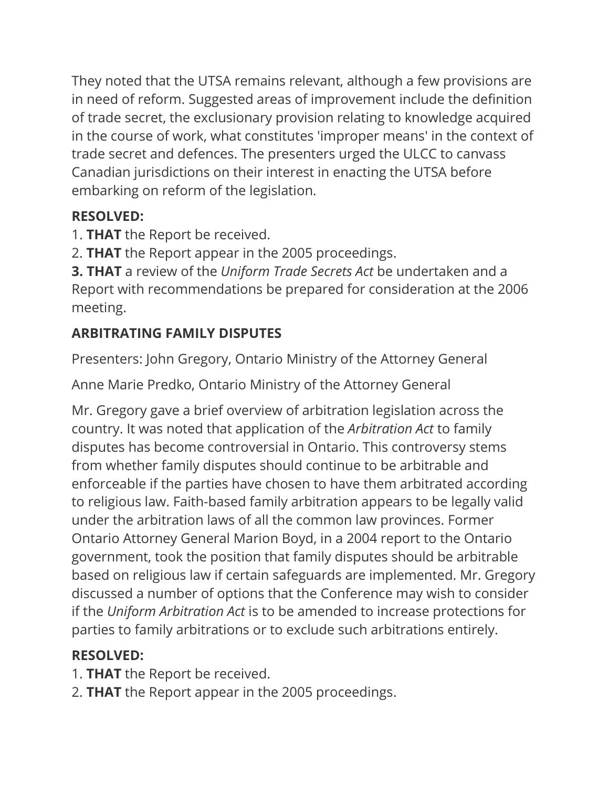They noted that the UTSA remains relevant, although a few provisions are in need of reform. Suggested areas of improvement include the definition of trade secret, the exclusionary provision relating to knowledge acquired in the course of work, what constitutes 'improper means' in the context of trade secret and defences. The presenters urged the ULCC to canvass Canadian jurisdictions on their interest in enacting the UTSA before embarking on reform of the legislation.

## **RESOLVED:**

- 1. **THAT** the Report be received.
- 2. **THAT** the Report appear in the 2005 proceedings.

**3. THAT** a review of the *Uniform Trade Secrets Act* be undertaken and a Report with recommendations be prepared for consideration at the 2006 meeting.

# **ARBITRATING FAMILY DISPUTES**

Presenters: John Gregory, Ontario Ministry of the Attorney General

Anne Marie Predko, Ontario Ministry of the Attorney General

Mr. Gregory gave a brief overview of arbitration legislation across the country. It was noted that application of the *Arbitration Act* to family disputes has become controversial in Ontario. This controversy stems from whether family disputes should continue to be arbitrable and enforceable if the parties have chosen to have them arbitrated according to religious law. Faith-based family arbitration appears to be legally valid under the arbitration laws of all the common law provinces. Former Ontario Attorney General Marion Boyd, in a 2004 report to the Ontario government, took the position that family disputes should be arbitrable based on religious law if certain safeguards are implemented. Mr. Gregory discussed a number of options that the Conference may wish to consider if the *Uniform Arbitration Act* is to be amended to increase protections for parties to family arbitrations or to exclude such arbitrations entirely.

# **RESOLVED:**

- 1. **THAT** the Report be received.
- 2. **THAT** the Report appear in the 2005 proceedings.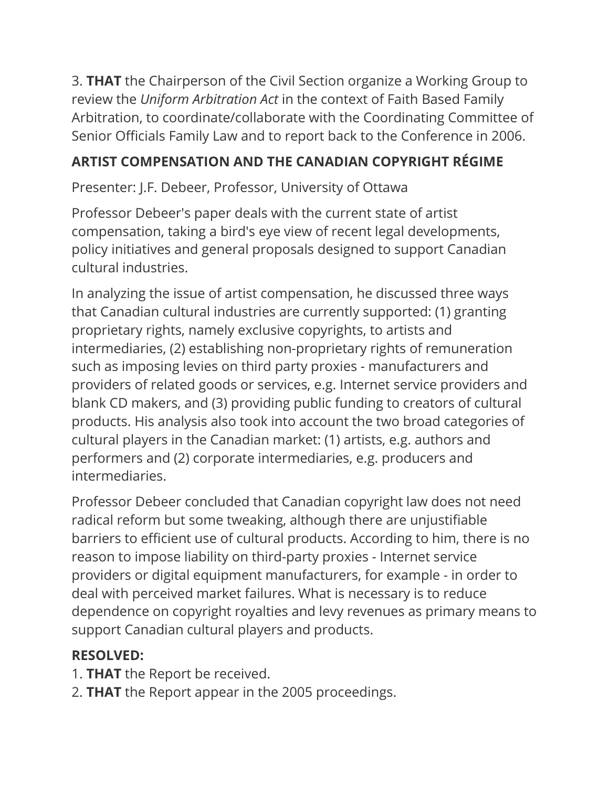3. **THAT** the Chairperson of the Civil Section organize a Working Group to review the *Uniform Arbitration Act* in the context of Faith Based Family Arbitration, to coordinate/collaborate with the Coordinating Committee of Senior Officials Family Law and to report back to the Conference in 2006.

#### **ARTIST COMPENSATION AND THE CANADIAN COPYRIGHT RÉGIME**

Presenter: J.F. Debeer, Professor, University of Ottawa

Professor Debeer's paper deals with the current state of artist compensation, taking a bird's eye view of recent legal developments, policy initiatives and general proposals designed to support Canadian cultural industries.

In analyzing the issue of artist compensation, he discussed three ways that Canadian cultural industries are currently supported: (1) granting proprietary rights, namely exclusive copyrights, to artists and intermediaries, (2) establishing non-proprietary rights of remuneration such as imposing levies on third party proxies - manufacturers and providers of related goods or services, e.g. Internet service providers and blank CD makers, and (3) providing public funding to creators of cultural products. His analysis also took into account the two broad categories of cultural players in the Canadian market: (1) artists, e.g. authors and performers and (2) corporate intermediaries, e.g. producers and intermediaries.

Professor Debeer concluded that Canadian copyright law does not need radical reform but some tweaking, although there are unjustifiable barriers to efficient use of cultural products. According to him, there is no reason to impose liability on third-party proxies - Internet service providers or digital equipment manufacturers, for example - in order to deal with perceived market failures. What is necessary is to reduce dependence on copyright royalties and levy revenues as primary means to support Canadian cultural players and products.

## **RESOLVED:**

- 1. **THAT** the Report be received.
- 2. **THAT** the Report appear in the 2005 proceedings.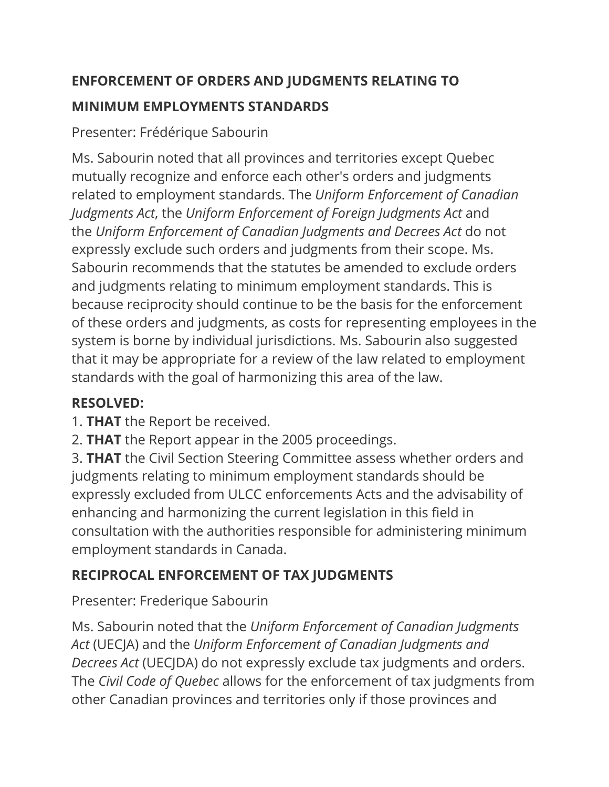#### **ENFORCEMENT OF ORDERS AND JUDGMENTS RELATING TO**

#### **MINIMUM EMPLOYMENTS STANDARDS**

Presenter: Frédérique Sabourin

Ms. Sabourin noted that all provinces and territories except Quebec mutually recognize and enforce each other's orders and judgments related to employment standards. The *Uniform Enforcement of Canadian Judgments Act*, the *Uniform Enforcement of Foreign Judgments Act* and the *Uniform Enforcement of Canadian Judgments and Decrees Act* do not expressly exclude such orders and judgments from their scope. Ms. Sabourin recommends that the statutes be amended to exclude orders and judgments relating to minimum employment standards. This is because reciprocity should continue to be the basis for the enforcement of these orders and judgments, as costs for representing employees in the system is borne by individual jurisdictions. Ms. Sabourin also suggested that it may be appropriate for a review of the law related to employment standards with the goal of harmonizing this area of the law.

# **RESOLVED:**

1. **THAT** the Report be received.

2. **THAT** the Report appear in the 2005 proceedings.

3. **THAT** the Civil Section Steering Committee assess whether orders and judgments relating to minimum employment standards should be expressly excluded from ULCC enforcements Acts and the advisability of enhancing and harmonizing the current legislation in this field in consultation with the authorities responsible for administering minimum employment standards in Canada.

# **RECIPROCAL ENFORCEMENT OF TAX JUDGMENTS**

Presenter: Frederique Sabourin

Ms. Sabourin noted that the *Uniform Enforcement of Canadian Judgments Act* (UECJA) and the *Uniform Enforcement of Canadian Judgments and Decrees Act* (UECJDA) do not expressly exclude tax judgments and orders. The *Civil Code of Quebec* allows for the enforcement of tax judgments from other Canadian provinces and territories only if those provinces and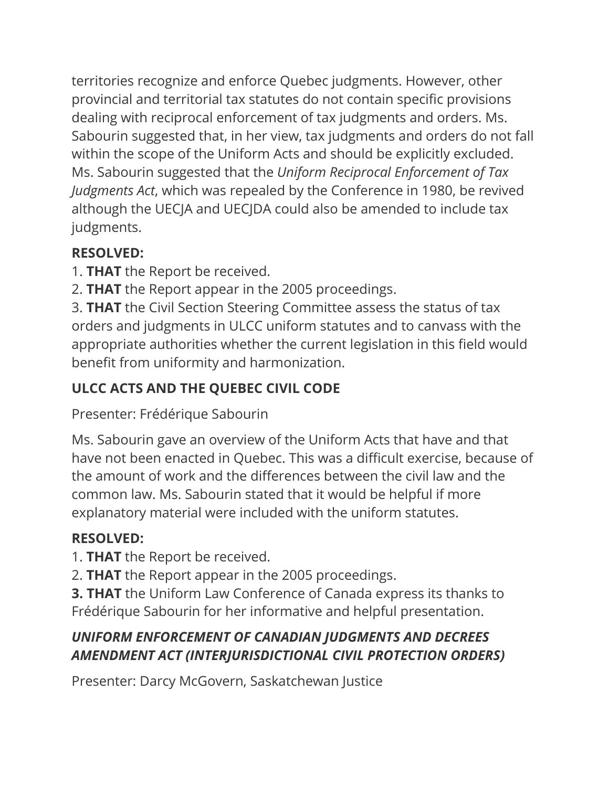territories recognize and enforce Quebec judgments. However, other provincial and territorial tax statutes do not contain specific provisions dealing with reciprocal enforcement of tax judgments and orders. Ms. Sabourin suggested that, in her view, tax judgments and orders do not fall within the scope of the Uniform Acts and should be explicitly excluded. Ms. Sabourin suggested that the *Uniform Reciprocal Enforcement of Tax Judgments Act*, which was repealed by the Conference in 1980, be revived although the UECJA and UECJDA could also be amended to include tax judgments.

# **RESOLVED:**

- 1. **THAT** the Report be received.
- 2. **THAT** the Report appear in the 2005 proceedings.

3. **THAT** the Civil Section Steering Committee assess the status of tax orders and judgments in ULCC uniform statutes and to canvass with the appropriate authorities whether the current legislation in this field would benefit from uniformity and harmonization.

# **ULCC ACTS AND THE QUEBEC CIVIL CODE**

Presenter: Frédérique Sabourin

Ms. Sabourin gave an overview of the Uniform Acts that have and that have not been enacted in Quebec. This was a difficult exercise, because of the amount of work and the differences between the civil law and the common law. Ms. Sabourin stated that it would be helpful if more explanatory material were included with the uniform statutes.

# **RESOLVED:**

- 1. **THAT** the Report be received.
- 2. **THAT** the Report appear in the 2005 proceedings.

**3. THAT** the Uniform Law Conference of Canada express its thanks to Frédérique Sabourin for her informative and helpful presentation.

## *UNIFORM ENFORCEMENT OF CANADIAN JUDGMENTS AND DECREES AMENDMENT ACT (INTERJURISDICTIONAL CIVIL PROTECTION ORDERS)*

Presenter: Darcy McGovern, Saskatchewan Justice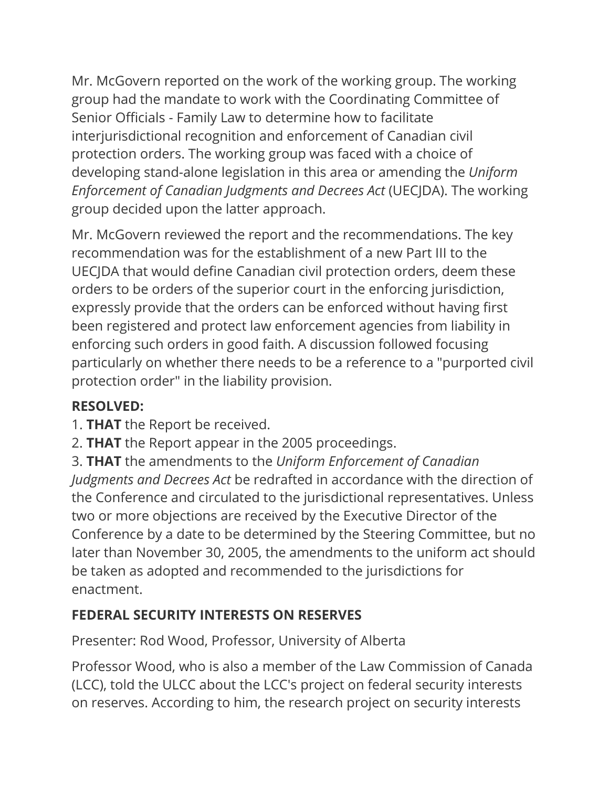Mr. McGovern reported on the work of the working group. The working group had the mandate to work with the Coordinating Committee of Senior Officials - Family Law to determine how to facilitate interjurisdictional recognition and enforcement of Canadian civil protection orders. The working group was faced with a choice of developing stand-alone legislation in this area or amending the *Uniform Enforcement of Canadian Judgments and Decrees Act* (UECJDA). The working group decided upon the latter approach.

Mr. McGovern reviewed the report and the recommendations. The key recommendation was for the establishment of a new Part III to the UECJDA that would define Canadian civil protection orders, deem these orders to be orders of the superior court in the enforcing jurisdiction, expressly provide that the orders can be enforced without having first been registered and protect law enforcement agencies from liability in enforcing such orders in good faith. A discussion followed focusing particularly on whether there needs to be a reference to a "purported civil protection order" in the liability provision.

#### **RESOLVED:**

- 1. **THAT** the Report be received.
- 2. **THAT** the Report appear in the 2005 proceedings.

3. **THAT** the amendments to the *Uniform Enforcement of Canadian Judgments and Decrees Act* be redrafted in accordance with the direction of the Conference and circulated to the jurisdictional representatives. Unless two or more objections are received by the Executive Director of the Conference by a date to be determined by the Steering Committee, but no later than November 30, 2005, the amendments to the uniform act should be taken as adopted and recommended to the jurisdictions for enactment.

#### **FEDERAL SECURITY INTERESTS ON RESERVES**

Presenter: Rod Wood, Professor, University of Alberta

Professor Wood, who is also a member of the Law Commission of Canada (LCC), told the ULCC about the LCC's project on federal security interests on reserves. According to him, the research project on security interests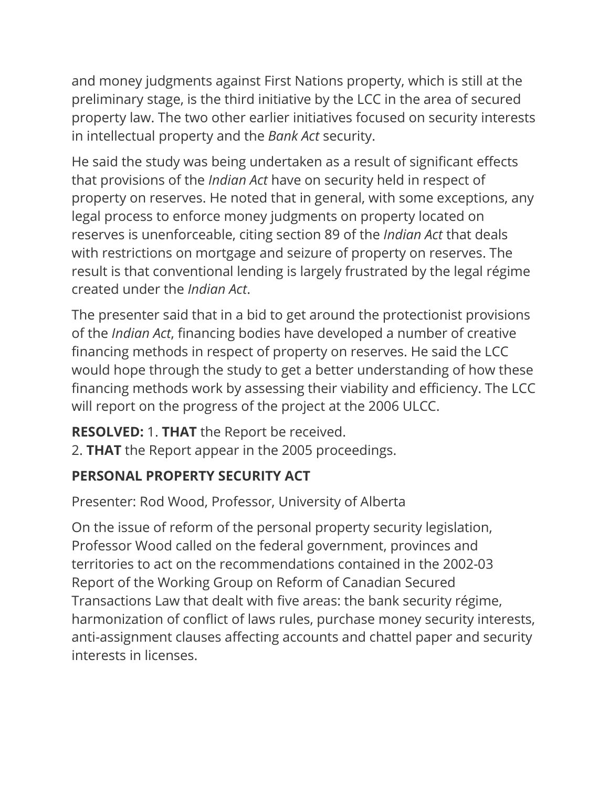and money judgments against First Nations property, which is still at the preliminary stage, is the third initiative by the LCC in the area of secured property law. The two other earlier initiatives focused on security interests in intellectual property and the *Bank Act* security.

He said the study was being undertaken as a result of significant effects that provisions of the *Indian Act* have on security held in respect of property on reserves. He noted that in general, with some exceptions, any legal process to enforce money judgments on property located on reserves is unenforceable, citing section 89 of the *Indian Act* that deals with restrictions on mortgage and seizure of property on reserves. The result is that conventional lending is largely frustrated by the legal régime created under the *Indian Act*.

The presenter said that in a bid to get around the protectionist provisions of the *Indian Act*, financing bodies have developed a number of creative financing methods in respect of property on reserves. He said the LCC would hope through the study to get a better understanding of how these financing methods work by assessing their viability and efficiency. The LCC will report on the progress of the project at the 2006 ULCC.

**RESOLVED:** 1. **THAT** the Report be received.

2. **THAT** the Report appear in the 2005 proceedings.

## **PERSONAL PROPERTY SECURITY ACT**

Presenter: Rod Wood, Professor, University of Alberta

On the issue of reform of the personal property security legislation, Professor Wood called on the federal government, provinces and territories to act on the recommendations contained in the 2002-03 Report of the Working Group on Reform of Canadian Secured Transactions Law that dealt with five areas: the bank security régime, harmonization of conflict of laws rules, purchase money security interests, anti-assignment clauses affecting accounts and chattel paper and security interests in licenses.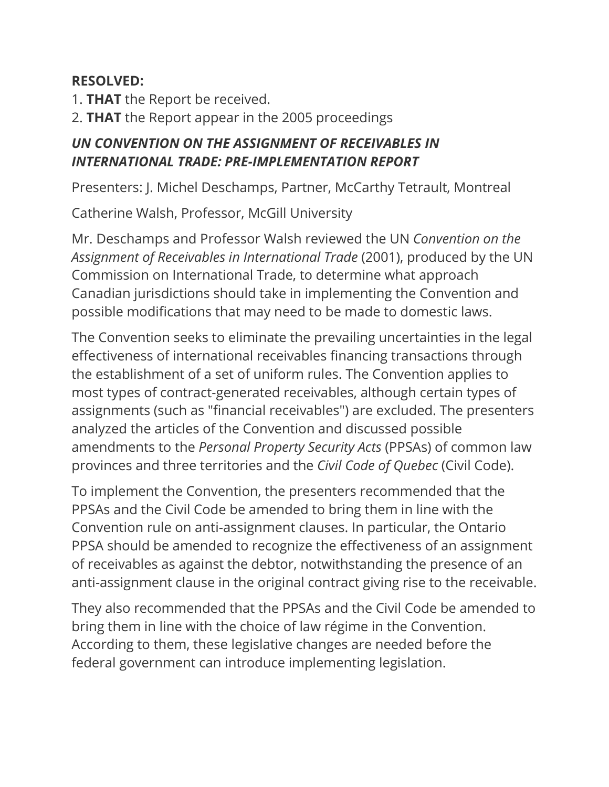#### **RESOLVED:**

- 1. **THAT** the Report be received.
- 2. **THAT** the Report appear in the 2005 proceedings

#### *UN CONVENTION ON THE ASSIGNMENT OF RECEIVABLES IN INTERNATIONAL TRADE: PRE-IMPLEMENTATION REPORT*

Presenters: J. Michel Deschamps, Partner, McCarthy Tetrault, Montreal

Catherine Walsh, Professor, McGill University

Mr. Deschamps and Professor Walsh reviewed the UN *Convention on the Assignment of Receivables in International Trade* (2001), produced by the UN Commission on International Trade, to determine what approach Canadian jurisdictions should take in implementing the Convention and possible modifications that may need to be made to domestic laws.

The Convention seeks to eliminate the prevailing uncertainties in the legal effectiveness of international receivables financing transactions through the establishment of a set of uniform rules. The Convention applies to most types of contract-generated receivables, although certain types of assignments (such as "financial receivables") are excluded. The presenters analyzed the articles of the Convention and discussed possible amendments to the *Personal Property Security Acts* (PPSAs) of common law provinces and three territories and the *Civil Code of Quebec* (Civil Code).

To implement the Convention, the presenters recommended that the PPSAs and the Civil Code be amended to bring them in line with the Convention rule on anti-assignment clauses. In particular, the Ontario PPSA should be amended to recognize the effectiveness of an assignment of receivables as against the debtor, notwithstanding the presence of an anti-assignment clause in the original contract giving rise to the receivable.

They also recommended that the PPSAs and the Civil Code be amended to bring them in line with the choice of law régime in the Convention. According to them, these legislative changes are needed before the federal government can introduce implementing legislation.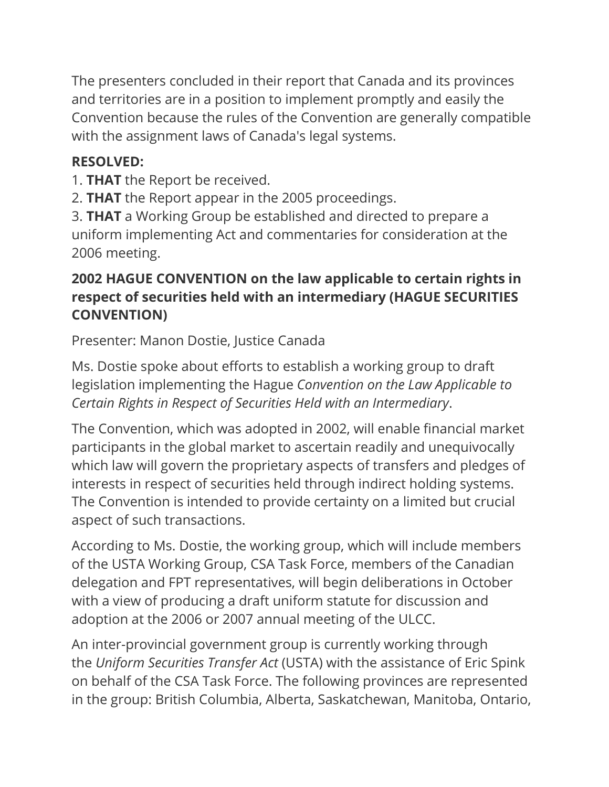The presenters concluded in their report that Canada and its provinces and territories are in a position to implement promptly and easily the Convention because the rules of the Convention are generally compatible with the assignment laws of Canada's legal systems.

#### **RESOLVED:**

- 1. **THAT** the Report be received.
- 2. **THAT** the Report appear in the 2005 proceedings.

3. **THAT** a Working Group be established and directed to prepare a uniform implementing Act and commentaries for consideration at the 2006 meeting.

#### **2002 HAGUE CONVENTION on the law applicable to certain rights in respect of securities held with an intermediary (HAGUE SECURITIES CONVENTION)**

Presenter: Manon Dostie, Justice Canada

Ms. Dostie spoke about efforts to establish a working group to draft legislation implementing the Hague *Convention on the Law Applicable to Certain Rights in Respect of Securities Held with an Intermediary*.

The Convention, which was adopted in 2002, will enable financial market participants in the global market to ascertain readily and unequivocally which law will govern the proprietary aspects of transfers and pledges of interests in respect of securities held through indirect holding systems. The Convention is intended to provide certainty on a limited but crucial aspect of such transactions.

According to Ms. Dostie, the working group, which will include members of the USTA Working Group, CSA Task Force, members of the Canadian delegation and FPT representatives, will begin deliberations in October with a view of producing a draft uniform statute for discussion and adoption at the 2006 or 2007 annual meeting of the ULCC.

An inter-provincial government group is currently working through the *Uniform Securities Transfer Act* (USTA) with the assistance of Eric Spink on behalf of the CSA Task Force. The following provinces are represented in the group: British Columbia, Alberta, Saskatchewan, Manitoba, Ontario,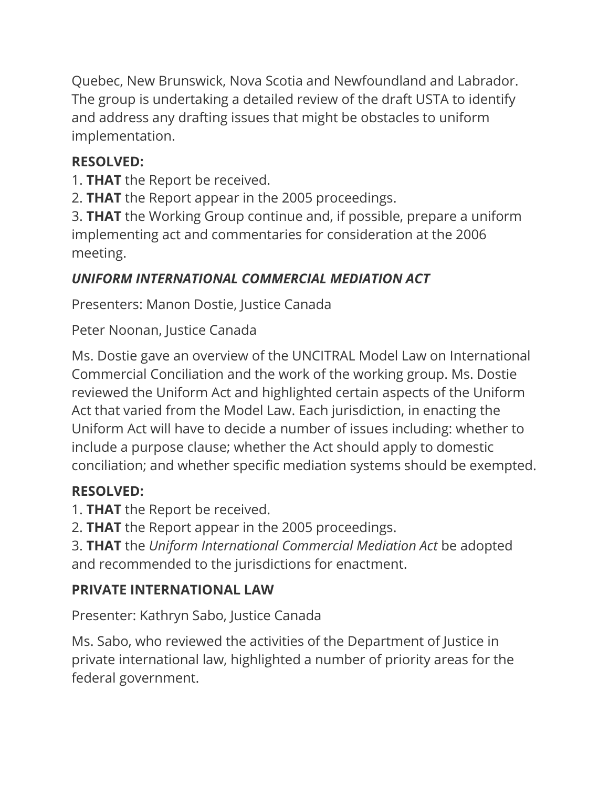Quebec, New Brunswick, Nova Scotia and Newfoundland and Labrador. The group is undertaking a detailed review of the draft USTA to identify and address any drafting issues that might be obstacles to uniform implementation.

## **RESOLVED:**

1. **THAT** the Report be received.

2. **THAT** the Report appear in the 2005 proceedings.

3. **THAT** the Working Group continue and, if possible, prepare a uniform implementing act and commentaries for consideration at the 2006 meeting.

# *UNIFORM INTERNATIONAL COMMERCIAL MEDIATION ACT*

Presenters: Manon Dostie, Justice Canada

Peter Noonan, Justice Canada

Ms. Dostie gave an overview of the UNCITRAL Model Law on International Commercial Conciliation and the work of the working group. Ms. Dostie reviewed the Uniform Act and highlighted certain aspects of the Uniform Act that varied from the Model Law. Each jurisdiction, in enacting the Uniform Act will have to decide a number of issues including: whether to include a purpose clause; whether the Act should apply to domestic conciliation; and whether specific mediation systems should be exempted.

# **RESOLVED:**

1. **THAT** the Report be received.

2. **THAT** the Report appear in the 2005 proceedings.

3. **THAT** the *Uniform International Commercial Mediation Act* be adopted and recommended to the jurisdictions for enactment.

# **PRIVATE INTERNATIONAL LAW**

Presenter: Kathryn Sabo, Justice Canada

Ms. Sabo, who reviewed the activities of the Department of Justice in private international law, highlighted a number of priority areas for the federal government.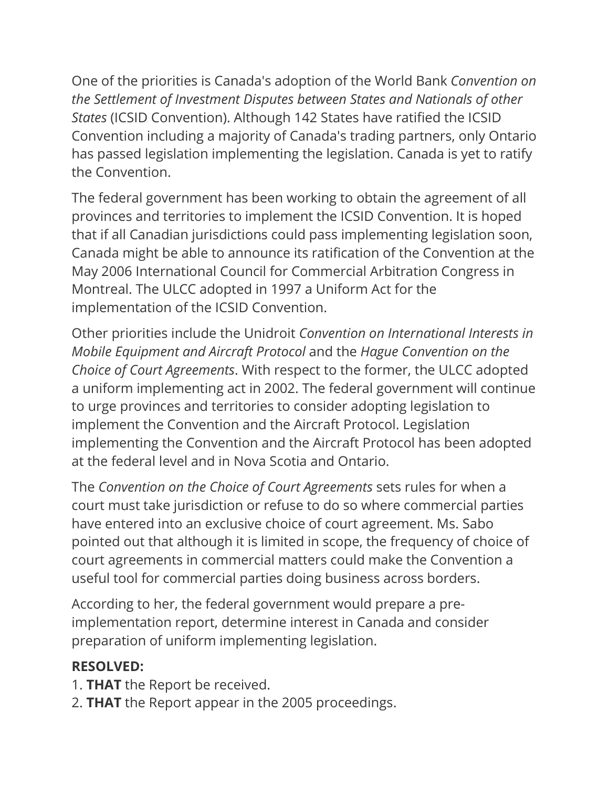One of the priorities is Canada's adoption of the World Bank *Convention on the Settlement of Investment Disputes between States and Nationals of other States* (ICSID Convention). Although 142 States have ratified the ICSID Convention including a majority of Canada's trading partners, only Ontario has passed legislation implementing the legislation. Canada is yet to ratify the Convention.

The federal government has been working to obtain the agreement of all provinces and territories to implement the ICSID Convention. It is hoped that if all Canadian jurisdictions could pass implementing legislation soon, Canada might be able to announce its ratification of the Convention at the May 2006 International Council for Commercial Arbitration Congress in Montreal. The ULCC adopted in 1997 a Uniform Act for the implementation of the ICSID Convention.

Other priorities include the Unidroit *Convention on International Interests in Mobile Equipment and Aircraft Protocol* and the *Hague Convention on the Choice of Court Agreements*. With respect to the former, the ULCC adopted a uniform implementing act in 2002. The federal government will continue to urge provinces and territories to consider adopting legislation to implement the Convention and the Aircraft Protocol. Legislation implementing the Convention and the Aircraft Protocol has been adopted at the federal level and in Nova Scotia and Ontario.

The *Convention on the Choice of Court Agreements* sets rules for when a court must take jurisdiction or refuse to do so where commercial parties have entered into an exclusive choice of court agreement. Ms. Sabo pointed out that although it is limited in scope, the frequency of choice of court agreements in commercial matters could make the Convention a useful tool for commercial parties doing business across borders.

According to her, the federal government would prepare a preimplementation report, determine interest in Canada and consider preparation of uniform implementing legislation.

#### **RESOLVED:**

- 1. **THAT** the Report be received.
- 2. **THAT** the Report appear in the 2005 proceedings.